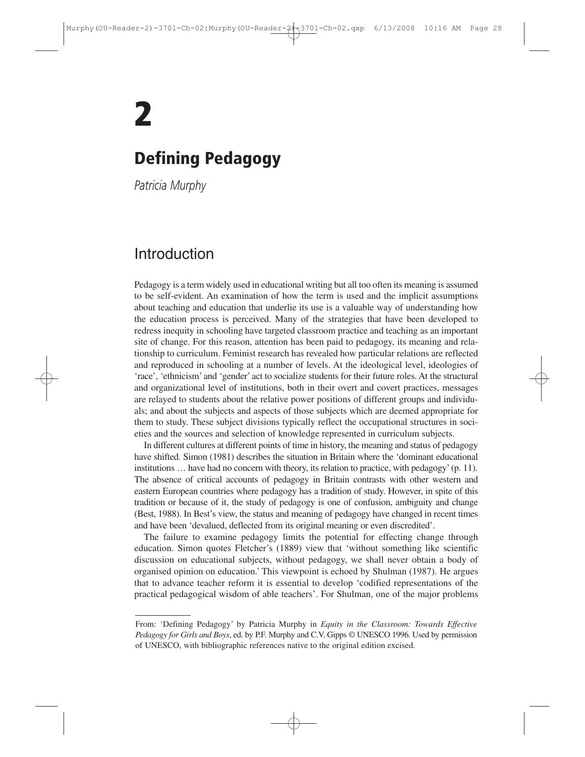*Patricia Murphy*

2

## **Introduction**

Pedagogy is a term widely used in educational writing but all too often its meaning is assumed to be self-evident. An examination of how the term is used and the implicit assumptions about teaching and education that underlie its use is a valuable way of understanding how the education process is perceived. Many of the strategies that have been developed to redress inequity in schooling have targeted classroom practice and teaching as an important site of change. For this reason, attention has been paid to pedagogy, its meaning and relationship to curriculum. Feminist research has revealed how particular relations are reflected and reproduced in schooling at a number of levels. At the ideological level, ideologies of 'race', 'ethnicism' and 'gender' act to socialize students for their future roles. At the structural and organizational level of institutions, both in their overt and covert practices, messages are relayed to students about the relative power positions of different groups and individuals; and about the subjects and aspects of those subjects which are deemed appropriate for them to study. These subject divisions typically reflect the occupational structures in societies and the sources and selection of knowledge represented in curriculum subjects.

In different cultures at different points of time in history, the meaning and status of pedagogy have shifted. Simon (1981) describes the situation in Britain where the 'dominant educational institutions … have had no concern with theory, its relation to practice, with pedagogy' (p. 11). The absence of critical accounts of pedagogy in Britain contrasts with other western and eastern European countries where pedagogy has a tradition of study. However, in spite of this tradition or because of it, the study of pedagogy is one of confusion, ambiguity and change (Best, 1988). In Best's view, the status and meaning of pedagogy have changed in recent times and have been 'devalued, deflected from its original meaning or even discredited'.

The failure to examine pedagogy limits the potential for effecting change through education. Simon quotes Fletcher's (1889) view that 'without something like scientific discussion on educational subjects, without pedagogy, we shall never obtain a body of organised opinion on education.' This viewpoint is echoed by Shulman (1987). He argues that to advance teacher reform it is essential to develop 'codified representations of the practical pedagogical wisdom of able teachers'. For Shulman, one of the major problems

From: 'Defining Pedagogy' by Patricia Murphy in *Equity in the Classroom: Towards Effective Pedagogy for Girls and Boys*, ed. by P.F. Murphy and C.V. Gipps © UNESCO 1996. Used by permission of UNESCO, with bibliographic references native to the original edition excised.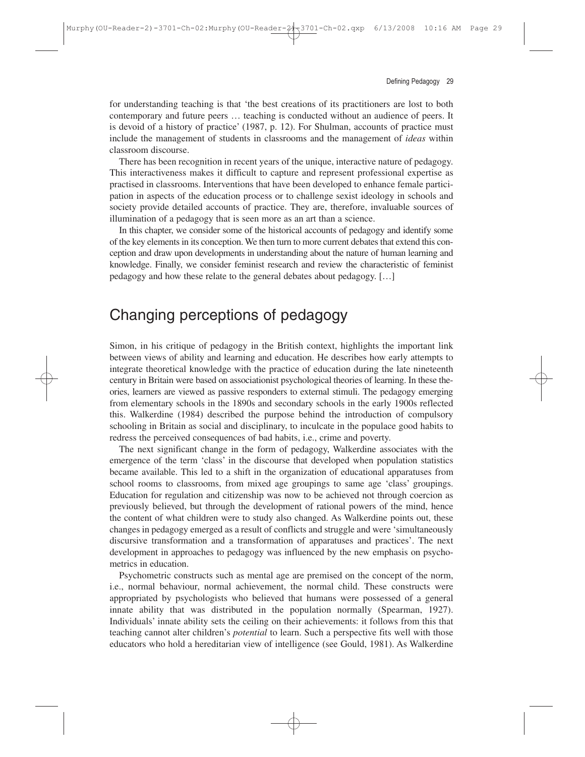for understanding teaching is that 'the best creations of its practitioners are lost to both contemporary and future peers … teaching is conducted without an audience of peers. It is devoid of a history of practice' (1987, p. 12). For Shulman, accounts of practice must include the management of students in classrooms and the management of *ideas* within classroom discourse.

There has been recognition in recent years of the unique, interactive nature of pedagogy. This interactiveness makes it difficult to capture and represent professional expertise as practised in classrooms. Interventions that have been developed to enhance female partici pation in aspects of the education process or to challenge sexist ideology in schools and society provide detailed accounts of practice. They are, therefore, invaluable sources of illumination of a pedagogy that is seen more as an art than a science.

In this chapter, we consider some of the historical accounts of pedagogy and identify some of the key elements in its conception. We then turn to more current debates that extend this conception and draw upon developments in understanding about the nature of human learning and knowledge. Finally, we consider feminist research and review the characteristic of feminist pedagogy and how these relate to the general debates about pedagogy. […]

# Changing perceptions of pedagogy

Simon, in his critique of pedagogy in the British context, highlights the important link between views of ability and learning and education. He describes how early attempts to integrate theoretical knowledge with the practice of education during the late nineteenth century in Britain were based on associationist psychological theories of learning. In these theories, learners are viewed as passive responders to external stimuli. The pedagogy emerging from elementary schools in the 1890s and secondary schools in the early 1900s reflected this. Walkerdine (1984) described the purpose behind the introduction of compulsory schooling in Britain as social and disciplinary, to inculcate in the populace good habits to redress the perceived consequences of bad habits, i.e., crime and poverty.

The next significant change in the form of pedagogy, Walkerdine associates with the emergence of the term 'class' in the discourse that developed when population statistics became available. This led to a shift in the organization of educational apparatuses from school rooms to classrooms, from mixed age groupings to same age 'class' groupings. Education for regulation and citizenship was now to be achieved not through coercion as previously believed, but through the development of rational powers of the mind, hence the content of what children were to study also changed. As Walkerdine points out, these changes in pedagogy emerged as a result of conflicts and struggle and were 'simultaneously discursive transformation and a transformation of apparatuses and practices'. The next development in approaches to pedagogy was influenced by the new emphasis on psychometrics in education.

Psychometric constructs such as mental age are premised on the concept of the norm, i.e., normal behaviour, normal achievement, the normal child. These constructs were appropriated by psychologists who believed that humans were possessed of a general innate ability that was distributed in the population normally (Spearman, 1927). Individuals' innate ability sets the ceiling on their achievements: it follows from this that teaching cannot alter children's *potential* to learn. Such a perspective fits well with those educators who hold a hereditarian view of intelligence (see Gould, 1981). As Walkerdine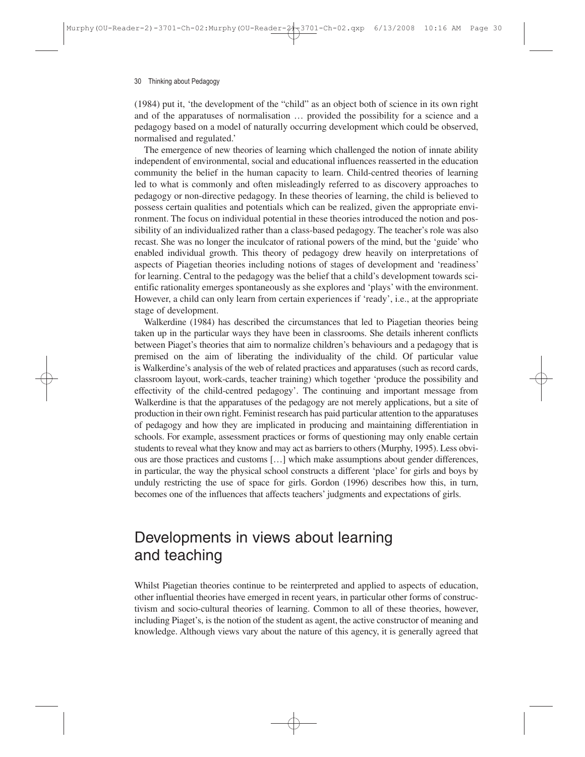(1984) put it, 'the development of the "child" as an object both of science in its own right and of the apparatuses of normalisation … provided the possibility for a science and a pedagogy based on a model of naturally occurring development which could be observed, normalised and regulated.'

The emergence of new theories of learning which challenged the notion of innate ability independent of environmental, social and educational influences reasserted in the education community the belief in the human capacity to learn. Child-centred theories of learning led to what is commonly and often misleadingly referred to as discovery approaches to pedagogy or non-directive pedagogy. In these theories of learning, the child is believed to possess certain qualities and potentials which can be realized, given the appropriate environment. The focus on individual potential in these theories introduced the notion and possibility of an individualized rather than a class-based pedagogy. The teacher's role was also recast. She was no longer the inculcator of rational powers of the mind, but the 'guide' who enabled individual growth. This theory of pedagogy drew heavily on interpretations of aspects of Piagetian theories including notions of stages of development and 'readiness' for learning. Central to the pedagogy was the belief that a child's development towards scientific rationality emerges spontaneously as she explores and 'plays' with the environment. However, a child can only learn from certain experiences if 'ready', i.e., at the appropriate stage of development.

Walkerdine (1984) has described the circumstances that led to Piagetian theories being taken up in the particular ways they have been in classrooms. She details inherent conflicts between Piaget's theories that aim to normalize children's behaviours and a pedagogy that is premised on the aim of liberating the individuality of the child. Of particular value is Walkerdine's analysis of the web of related practices and apparatuses (such as record cards, classroom layout, work-cards, teacher training) which together 'produce the possibility and effectivity of the child-centred pedagogy'. The continuing and important message from Walkerdine is that the apparatuses of the pedagogy are not merely applications, but a site of production in their own right. Feminist research has paid particular attention to the apparatuses of pedagogy and how they are implicated in producing and maintaining differentiation in schools. For example, assessment practices or forms of questioning may only enable certain students to reveal what they know and may act as barriers to others (Murphy, 1995). Less obvious are those practices and customs […] which make assumptions about gender differences, in particular, the way the physical school constructs a different 'place' for girls and boys by unduly restricting the use of space for girls. Gordon (1996) describes how this, in turn, becomes one of the influences that affects teachers' judgments and expectations of girls.

# Developments in views about learning and teaching

Whilst Piagetian theories continue to be reinterpreted and applied to aspects of education, other influential theories have emerged in recent years, in particular other forms of constructivism and socio-cultural theories of learning. Common to all of these theories, however, including Piaget's, is the notion of the student as agent, the active constructor of meaning and knowledge. Although views vary about the nature of this agency, it is generally agreed that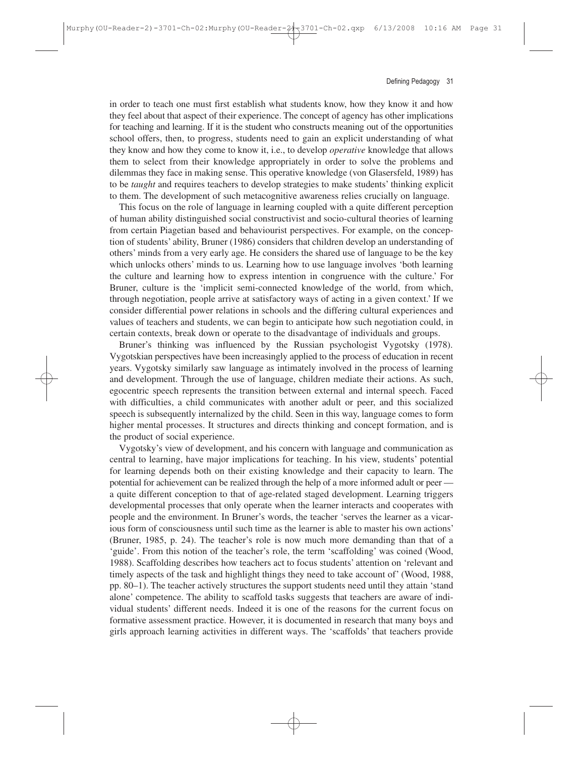in order to teach one must first establish what students know, how they know it and how they feel about that aspect of their experience. The concept of agency has other implications for teaching and learning. If it is the student who constructs meaning out of the opportunities school offers, then, to progress, students need to gain an explicit understanding of what they know and how they come to know it, i.e., to develop *operative* knowledge that allows them to select from their knowledge appropriately in order to solve the problems and dilemmas they face in making sense. This operative knowledge (von Glasersfeld, 1989) has to be *taught* and requires teachers to develop strategies to make students' thinking explicit to them. The development of such metacognitive awareness relies crucially on language.

This focus on the role of language in learning coupled with a quite different perception of human ability distinguished social constructivist and socio-cultural theories of learning from certain Piagetian based and behaviourist perspectives. For example, on the conception of students' ability, Bruner (1986) considers that children develop an understanding of others' minds from a very early age. He considers the shared use of language to be the key which unlocks others' minds to us. Learning how to use language involves 'both learning the culture and learning how to express intention in congruence with the culture.' For Bruner, culture is the 'implicit semi-connected knowledge of the world, from which, through negotiation, people arrive at satisfactory ways of acting in a given context.' If we consider differential power relations in schools and the differing cultural experiences and values of teachers and students, we can begin to anticipate how such negotiation could, in certain contexts, break down or operate to the disadvantage of individuals and groups.

Bruner's thinking was influenced by the Russian psychologist Vygotsky (1978). Vygotskian perspectives have been increasingly applied to the process of education in recent years. Vygotsky similarly saw language as intimately involved in the process of learning and development. Through the use of language, children mediate their actions. As such, egocentric speech represents the transition between external and internal speech. Faced with difficulties, a child communicates with another adult or peer, and this socialized speech is subsequently internalized by the child. Seen in this way, language comes to form higher mental processes. It structures and directs thinking and concept formation, and is the product of social experience.

Vygotsky's view of development, and his concern with language and communication as central to learning, have major implications for teaching. In his view, students' potential for learning depends both on their existing knowledge and their capacity to learn. The potential for achievement can be realized through the help of a more informed adult or peer a quite different conception to that of age-related staged development. Learning triggers developmental processes that only operate when the learner interacts and cooperates with people and the environment. In Bruner's words, the teacher 'serves the learner as a vicarious form of consciousness until such time as the learner is able to master his own actions' (Bruner, 1985, p. 24). The teacher's role is now much more demanding than that of a 'guide'. From this notion of the teacher's role, the term 'scaffolding' was coined (Wood, 1988). Scaffolding describes how teachers act to focus students' attention on 'relevant and timely aspects of the task and highlight things they need to take account of' (Wood, 1988, pp. 80–1). The teacher actively structures the support students need until they attain 'stand alone' competence. The ability to scaffold tasks suggests that teachers are aware of individual students' different needs. Indeed it is one of the reasons for the current focus on formative assessment practice. However, it is documented in research that many boys and girls approach learning activities in different ways. The 'scaffolds' that teachers provide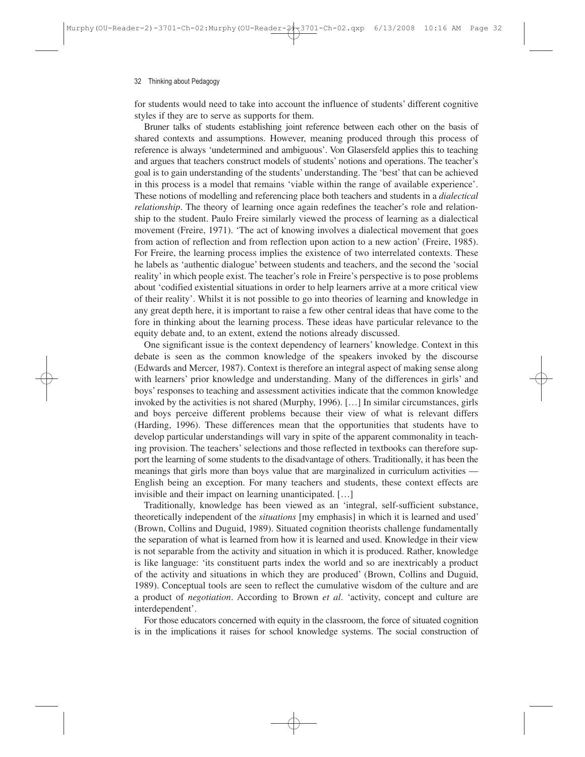for students would need to take into account the influence of students' different cognitive styles if they are to serve as supports for them.

Bruner talks of students establishing joint reference between each other on the basis of shared contexts and assumptions. However, meaning produced through this process of reference is always 'undetermined and ambiguous'. Von Glasersfeld applies this to teaching and argues that teachers construct models of students' notions and operations. The teacher's goal is to gain understanding of the students' understanding. The 'best' that can be achieved in this process is a model that remains 'viable within the range of available experience'. These notions of modelling and referencing place both teachers and students in a *dialectical relationship*. The theory of learning once again redefines the teacher's role and relationship to the student. Paulo Freire similarly viewed the process of learning as a dialectical movement (Freire, 1971). 'The act of knowing involves a dialectical movement that goes from action of reflection and from reflection upon action to a new action' (Freire, 1985). For Freire, the learning process implies the existence of two interrelated contexts. These he labels as 'authentic dialogue' between students and teachers, and the second the 'social reality' in which people exist. The teacher's role in Freire's perspective is to pose problems about 'codified existential situations in order to help learners arrive at a more critical view of their reality'. Whilst it is not possible to go into theories of learning and knowledge in any great depth here, it is important to raise a few other central ideas that have come to the fore in thinking about the learning process. These ideas have particular relevance to the equity debate and, to an extent, extend the notions already discussed.

One significant issue is the context dependency of learners' knowledge. Context in this debate is seen as the common knowledge of the speakers invoked by the discourse (Edwards and Mercer, 1987). Context is therefore an integral aspect of making sense along with learners' prior knowledge and understanding. Many of the differences in girls' and boys' responses to teaching and assessment activities indicate that the common knowledge invoked by the activities is not shared (Murphy, 1996). […] In similar circumstances, girls and boys perceive different problems because their view of what is relevant differs (Harding, 1996). These differences mean that the opportunities that students have to develop particular understandings will vary in spite of the apparent commonality in teaching provision. The teachers' selections and those reflected in textbooks can therefore support the learning of some students to the disadvantage of others. Traditionally, it has been the meanings that girls more than boys value that are marginalized in curriculum activities — English being an exception. For many teachers and students, these context effects are invisible and their impact on learning unanticipated. […]

Traditionally, knowledge has been viewed as an 'integral, self-sufficient substance, theoretically independent of the *situations* [my emphasis] in which it is learned and used' (Brown, Collins and Duguid, 1989). Situated cognition theorists challenge fundamentally the separation of what is learned from how it is learned and used. Knowledge in their view is not separable from the activity and situation in which it is produced. Rather, knowledge is like language: 'its constituent parts index the world and so are inextricably a product of the activity and situations in which they are produced' (Brown, Collins and Duguid, 1989). Conceptual tools are seen to reflect the cumulative wisdom of the culture and are a product of *negotiation*. According to Brown *et al*. 'activity, concept and culture are interdependent'.

For those educators concerned with equity in the classroom, the force of situated cognition is in the implications it raises for school knowledge systems. The social construction of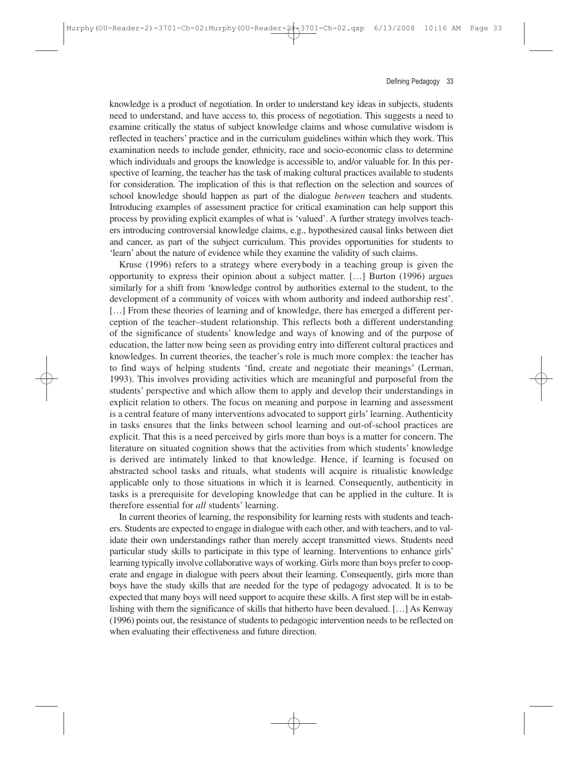knowledge is a product of negotiation. In order to understand key ideas in subjects, students need to understand, and have access to, this process of negotiation. This suggests a need to examine critically the status of subject knowledge claims and whose cumulative wisdom is reflected in teachers' practice and in the curriculum guidelines within which they work. This examination needs to include gender, ethnicity, race and socio-economic class to determine which individuals and groups the knowledge is accessible to, and/or valuable for. In this perspective of learning, the teacher has the task of making cultural practices available to students for consideration. The implication of this is that reflection on the selection and sources of school knowledge should happen as part of the dialogue *between* teachers and students. Introducing examples of assessment practice for critical examination can help support this process by providing explicit examples of what is 'valued'. A further strategy involves teachers introducing controversial knowledge claims, e.g., hypothesized causal links between diet and cancer, as part of the subject curriculum. This provides opportunities for students to 'learn' about the nature of evidence while they examine the validity of such claims.

Kruse (1996) refers to a strategy where everybody in a teaching group is given the opportunity to express their opinion about a subject matter. […] Burton (1996) argues similarly for a shift from 'knowledge control by authorities external to the student, to the development of a community of voices with whom authority and indeed authorship rest'. [...] From these theories of learning and of knowledge, there has emerged a different perception of the teacher–student relationship. This reflects both a different understanding of the significance of students' knowledge and ways of knowing and of the purpose of education, the latter now being seen as providing entry into different cultural practices and knowledges. In current theories, the teacher's role is much more complex: the teacher has to find ways of helping students 'find, create and negotiate their meanings' (Lerman, 1993). This involves providing activities which are meaningful and purposeful from the students' perspective and which allow them to apply and develop their understandings in explicit relation to others. The focus on meaning and purpose in learning and assessment is a central feature of many interventions advocated to support girls' learning. Authenticity in tasks ensures that the links between school learning and out-of-school practices are explicit. That this is a need perceived by girls more than boys is a matter for concern. The literature on situated cognition shows that the activities from which students' knowledge is derived are intimately linked to that knowledge. Hence, if learning is focused on abstracted school tasks and rituals, what students will acquire is ritualistic knowledge applicable only to those situations in which it is learned. Consequently, authenticity in tasks is a prerequisite for developing knowledge that can be applied in the culture. It is therefore essential for *all* students' learning.

In current theories of learning, the responsibility for learning rests with students and teachers. Students are expected to engage in dialogue with each other, and with teachers, and to validate their own understandings rather than merely accept transmitted views. Students need particular study skills to participate in this type of learning. Interventions to enhance girls' learning typically involve collaborative ways of working. Girls more than boys prefer to cooperate and engage in dialogue with peers about their learning. Consequently, girls more than boys have the study skills that are needed for the type of pedagogy advocated. It is to be expected that many boys will need support to acquire these skills. A first step will be in establishing with them the significance of skills that hitherto have been devalued. […] As Kenway (1996) points out, the resistance of students to pedagogic intervention needs to be reflected on when evaluating their effectiveness and future direction.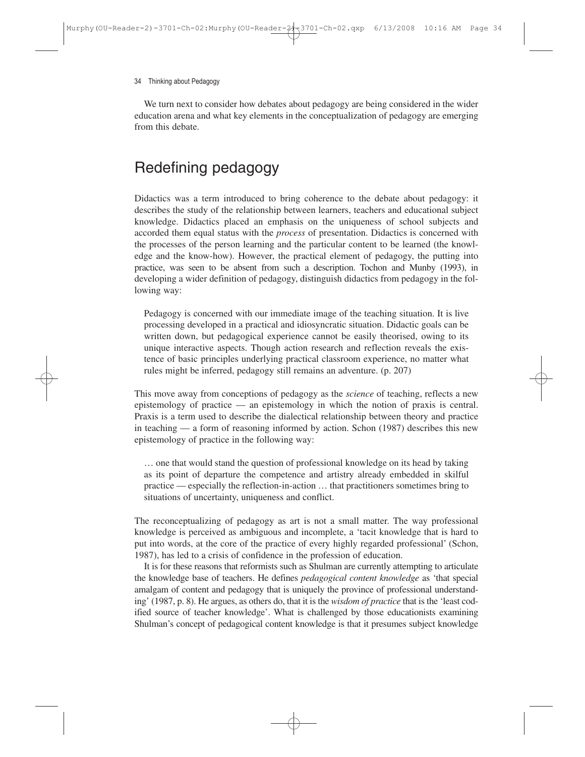We turn next to consider how debates about pedagogy are being considered in the wider education arena and what key elements in the conceptualization of pedagogy are emerging from this debate.

# Redefining pedagogy

Didactics was a term introduced to bring coherence to the debate about pedagogy: it describes the study of the relationship between learners, teachers and educational subject knowledge. Didactics placed an emphasis on the uniqueness of school subjects and accorded them equal status with the *process* of presentation. Didactics is concerned with the processes of the person learning and the particular content to be learned (the knowledge and the know-how). However, the practical element of pedagogy, the putting into practice, was seen to be absent from such a description. Tochon and Munby (1993), in developing a wider definition of pedagogy, distinguish didactics from pedagogy in the following way:

Pedagogy is concerned with our immediate image of the teaching situation. It is live processing developed in a practical and idiosyncratic situation. Didactic goals can be written down, but pedagogical experience cannot be easily theorised, owing to its unique interactive aspects. Though action research and reflection reveals the existence of basic principles underlying practical classroom experience, no matter what rules might be inferred, pedagogy still remains an adventure. (p. 207)

This move away from conceptions of pedagogy as the *science* of teaching, reflects a new epistemology of practice — an epistemology in which the notion of praxis is central. Praxis is a term used to describe the dialectical relationship between theory and practice in teaching — a form of reasoning informed by action. Schon (1987) describes this new epistemology of practice in the following way:

… one that would stand the question of professional knowledge on its head by taking as its point of departure the competence and artistry already embedded in skilful practice — especially the reflection-in-action … that practitioners sometimes bring to situations of uncertainty, uniqueness and conflict.

The reconceptualizing of pedagogy as art is not a small matter. The way professional knowledge is perceived as ambiguous and incomplete, a 'tacit knowledge that is hard to put into words, at the core of the practice of every highly regarded professional' (Schon, 1987), has led to a crisis of confidence in the profession of education.

It is for these reasons that reformists such as Shulman are currently attempting to articulate the knowledge base of teachers. He defines *pedagogical content knowledge* as 'that special amalgam of content and pedagogy that is uniquely the province of professional understanding' (1987, p. 8). He argues, as others do, that it is the *wisdom of practice* that is the 'least codified source of teacher knowledge'. What is challenged by those educationists examining Shulman's concept of pedagogical content knowledge is that it presumes subject knowledge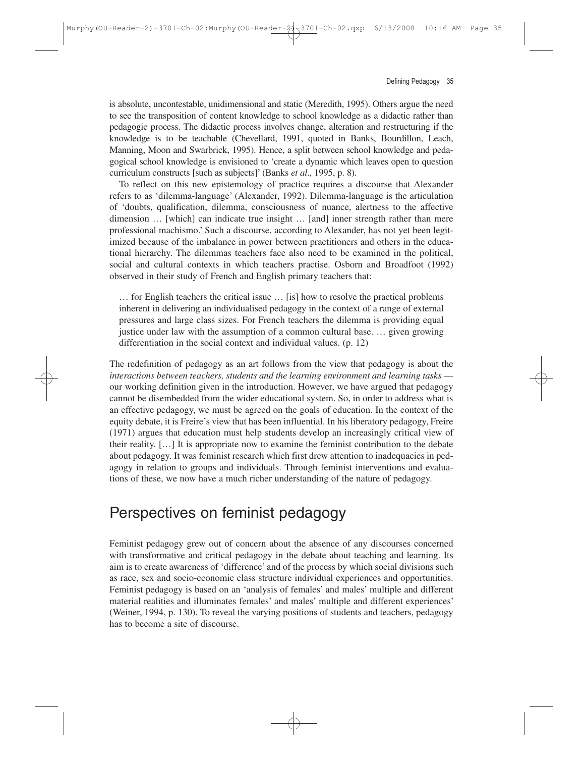is absolute, uncontestable, unidimensional and static (Meredith, 1995). Others argue the need to see the transposition of content knowledge to school knowledge as a didactic rather than pedagogic process. The didactic process involves change, alteration and restructuring if the knowledge is to be teachable (Chevellard, 1991, quoted in Banks, Bourdillon, Leach, Manning, Moon and Swarbrick, 1995). Hence, a split between school knowledge and pedagogical school knowledge is envisioned to 'create a dynamic which leaves open to question curriculum constructs [such as subjects]' (Banks *et al*., 1995, p. 8).

To reflect on this new epistemology of practice requires a discourse that Alexander refers to as 'dilemma-language' (Alexander, 1992). Dilemma-language is the articulation of 'doubts, qualification, dilemma, consciousness of nuance, alertness to the affective dimension … [which] can indicate true insight … [and] inner strength rather than mere professional machismo.' Such a discourse, according to Alexander, has not yet been legitimized because of the imbalance in power between practitioners and others in the educational hierarchy. The dilemmas teachers face also need to be examined in the political, social and cultural contexts in which teachers practise. Osborn and Broadfoot (1992) observed in their study of French and English primary teachers that:

… for English teachers the critical issue … [is] how to resolve the practical problems inherent in delivering an individualised pedagogy in the context of a range of external pressures and large class sizes. For French teachers the dilemma is providing equal justice under law with the assumption of a common cultural base. … given growing differentiation in the social context and individual values. (p. 12)

The redefinition of pedagogy as an art follows from the view that pedagogy is about the *interactions between teachers, students and the learning environment and learning tasks –* our working definition given in the introduction. However, we have argued that pedagogy cannot be disembedded from the wider educational system. So, in order to address what is an effective pedagogy, we must be agreed on the goals of education. In the context of the equity debate, it is Freire's view that has been influential. In his liberatory pedagogy, Freire (1971) argues that education must help students develop an increasingly critical view of their reality. […] It is appropriate now to examine the feminist contribution to the debate about pedagogy. It was feminist research which first drew attention to inadequacies in pedagogy in relation to groups and individuals. Through feminist interventions and evaluations of these, we now have a much richer understanding of the nature of pedagogy.

## Perspectives on feminist pedagogy

Feminist pedagogy grew out of concern about the absence of any discourses concerned with transformative and critical pedagogy in the debate about teaching and learning. Its aim is to create awareness of 'difference' and of the process by which social divisions such as race, sex and socio-economic class structure individual experiences and opportunities. Feminist pedagogy is based on an 'analysis of females' and males' multiple and different material realities and illuminates females' and males' multiple and different experiences' (Weiner, 1994, p. 130). To reveal the varying positions of students and teachers, pedagogy has to become a site of discourse.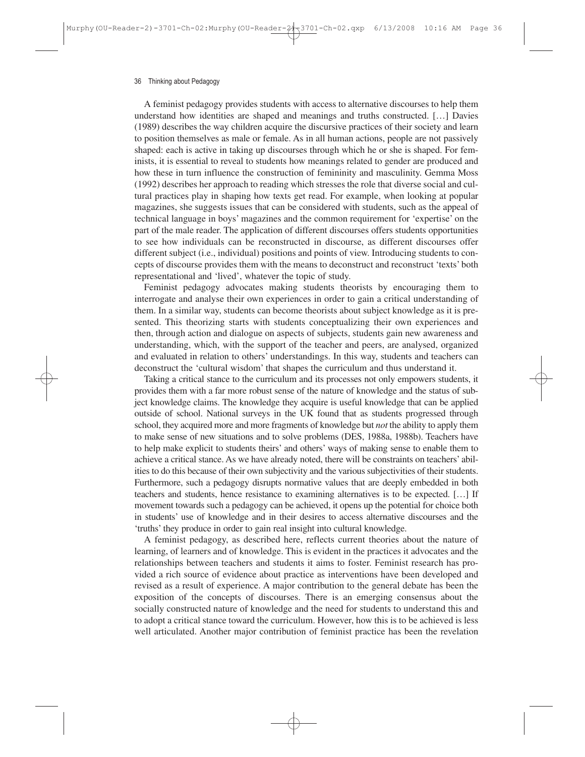A feminist pedagogy provides students with access to alternative discourses to help them understand how identities are shaped and meanings and truths constructed. […] Davies (1989) describes the way children acquire the discursive practices of their society and learn to position themselves as male or female. As in all human actions, people are not passively shaped: each is active in taking up discourses through which he or she is shaped. For feminists, it is essential to reveal to students how meanings related to gender are produced and how these in turn influence the construction of femininity and masculinity. Gemma Moss (1992) describes her approach to reading which stresses the role that diverse social and cultural practices play in shaping how texts get read. For example, when looking at popular magazines, she suggests issues that can be considered with students, such as the appeal of technical language in boys' magazines and the common requirement for 'expertise' on the part of the male reader. The application of different discourses offers students opportunities to see how individuals can be reconstructed in discourse, as different discourses offer different subject (i.e., individual) positions and points of view. Introducing students to concepts of discourse provides them with the means to deconstruct and reconstruct 'texts' both representational and 'lived', whatever the topic of study.

Feminist pedagogy advocates making students theorists by encouraging them to interrogate and analyse their own experiences in order to gain a critical understanding of them. In a similar way, students can become theorists about subject knowledge as it is presented. This theorizing starts with students conceptualizing their own experiences and then, through action and dialogue on aspects of subjects, students gain new awareness and understanding, which, with the support of the teacher and peers, are analysed, organized and evaluated in relation to others' understandings. In this way, students and teachers can deconstruct the 'cultural wisdom' that shapes the curriculum and thus understand it.

Taking a critical stance to the curriculum and its processes not only empowers students, it provides them with a far more robust sense of the nature of knowledge and the status of subject knowledge claims. The knowledge they acquire is useful knowledge that can be applied outside of school. National surveys in the UK found that as students progressed through school, they acquired more and more fragments of knowledge but *not* the ability to apply them to make sense of new situations and to solve problems (DES, 1988a, 1988b). Teachers have to help make explicit to students theirs' and others' ways of making sense to enable them to achieve a critical stance. As we have already noted, there will be constraints on teachers' abilities to do this because of their own subjectivity and the various subjectivities of their students. Furthermore, such a pedagogy disrupts normative values that are deeply embedded in both teachers and students, hence resistance to examining alternatives is to be expected. […] If movement towards such a pedagogy can be achieved, it opens up the potential for choice both in students' use of knowledge and in their desires to access alternative discourses and the 'truths' they produce in order to gain real insight into cultural knowledge.

A feminist pedagogy, as described here, reflects current theories about the nature of learning, of learners and of knowledge. This is evident in the practices it advocates and the relationships between teachers and students it aims to foster. Feminist research has provided a rich source of evidence about practice as interventions have been developed and revised as a result of experience. A major contribution to the general debate has been the exposition of the concepts of discourses. There is an emerging consensus about the socially constructed nature of knowledge and the need for students to understand this and to adopt a critical stance toward the curriculum. However, how this is to be achieved is less well articulated. Another major contribution of feminist practice has been the revelation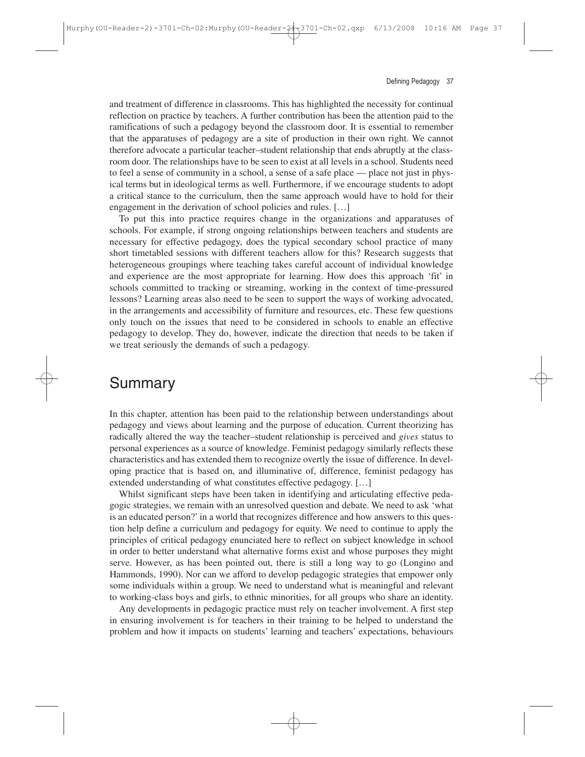and treatment of difference in classrooms. This has highlighted the necessity for continual reflection on practice by teachers. A further contribution has been the attention paid to the ramifications of such a pedagogy beyond the classroom door. It is essential to remember that the apparatuses of pedagogy are a site of production in their own right. We cannot therefore advocate a particular teacher–student relationship that ends abruptly at the classroom door. The relationships have to be seen to exist at all levels in a school. Students need to feel a sense of community in a school, a sense of a safe place — place not just in physical terms but in ideological terms as well. Furthermore, if we encourage students to adopt a critical stance to the curriculum, then the same approach would have to hold for their engagement in the derivation of school policies and rules. […]

To put this into practice requires change in the organizations and apparatuses of schools. For example, if strong ongoing relationships between teachers and students are necessary for effective pedagogy, does the typical secondary school practice of many short timetabled sessions with different teachers allow for this? Research suggests that heterogeneous groupings where teaching takes careful account of individual knowledge and experience are the most appropriate for learning. How does this approach 'fit' in schools committed to tracking or streaming, working in the context of time-pressured lessons? Learning areas also need to be seen to support the ways of working advocated, in the arrangements and accessibility of furniture and resources, etc. These few questions only touch on the issues that need to be considered in schools to enable an effective pedagogy to develop. They do, however, indicate the direction that needs to be taken if we treat seriously the demands of such a pedagogy.

## Summary

In this chapter, attention has been paid to the relationship between understandings about pedagogy and views about learning and the purpose of education. Current theorizing has radically altered the way the teacher–student relationship is perceived and *gives* status to personal experiences as a source of knowledge. Feminist pedagogy similarly reflects these characteristics and has extended them to recognize overtly the issue of difference. In developing practice that is based on, and illuminative of, difference, feminist pedagogy has extended understanding of what constitutes effective pedagogy. […]

Whilst significant steps have been taken in identifying and articulating effective pedagogic strategies, we remain with an unresolved question and debate. We need to ask 'what is an educated person?' in a world that recognizes difference and how answers to this question help define a curriculum and pedagogy for equity. We need to continue to apply the principles of critical pedagogy enunciated here to reflect on subject knowledge in school in order to better understand what alternative forms exist and whose purposes they might serve. However, as has been pointed out, there is still a long way to go (Longino and Hammonds, 1990). Nor can we afford to develop pedagogic strategies that empower only some individuals within a group. We need to understand what is meaningful and relevant to working-class boys and girls, to ethnic minorities, for all groups who share an identity.

Any developments in pedagogic practice must rely on teacher involvement. A first step in ensuring involvement is for teachers in their training to be helped to understand the problem and how it impacts on students' learning and teachers' expectations, behaviours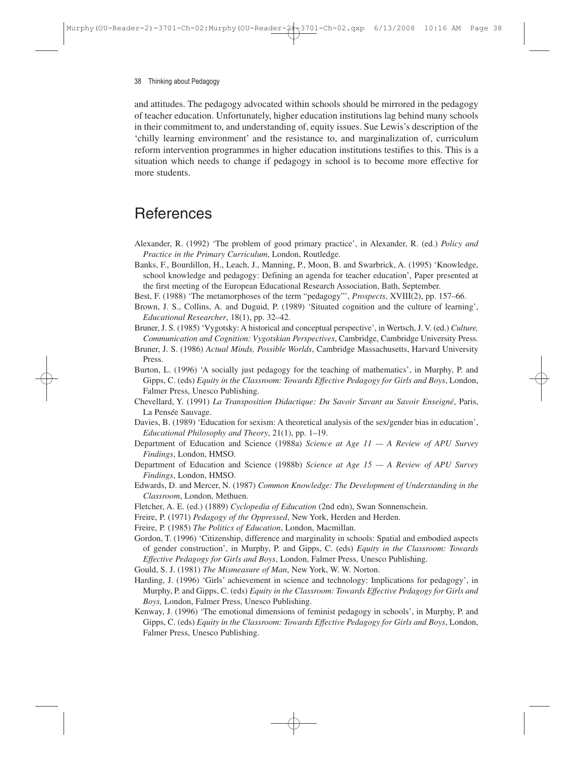and attitudes. The pedagogy advocated within schools should be mirrored in the pedagogy of teacher education. Unfortunately, higher education institutions lag behind many schools in their commitment to, and understanding of, equity issues. Sue Lewis's description of the 'chilly learning environment' and the resistance to, and marginalization of, curriculum reform intervention programmes in higher education institutions testifies to this. This is a situation which needs to change if pedagogy in school is to become more effective for more students.

## **References**

- Alexander, R. (1992) 'The problem of good primary practice', in Alexander, R. (ed.) *Policy and Practice in the Primary Curriculum*, London, Routledge.
- Banks, F., Bourdillon, H., Leach, J., Manning, P., Moon, B. and Swarbrick, A. (1995) 'Knowledge, school knowledge and pedagogy: Defining an agenda for teacher education', Paper presented at the first meeting of the European Educational Research Association, Bath, September.
- Best, F. (1988) 'The metamorphoses of the term "pedagogy"', *Prospects*, XVIII(2), pp. 157–66.
- Brown, J. S., Collins, A. and Duguid, P. (1989) 'Situated cognition and the culture of learning', *Educational Researcher*, 18(1), pp. 32–42.
- Bruner, J. S. (1985) 'Vygotsky: A historical and conceptual perspective', in Wertsch, J. V. (ed.) *Culture, Communication and Cognition: Vygotskian Perspectives*, Cambridge, Cambridge University Press.
- Bruner, J. S. (1986) *Actual Minds, Possible Worlds*, Cambridge Massachusetts, Harvard University Press.
- Burton, L. (1996) 'A socially just pedagogy for the teaching of mathematics', in Murphy, P. and Gipps, C. (eds) *Equity in the Classroom: Towards Effective Pedagogy for Girls and Boys*, London, Falmer Press, Unesco Publishing.
- Chevellard, Y. (1991) *La Transposition Didactique: Du Savoir Savant au Savoir Enseigné*, Paris, La Pensée Sauvage.
- Davies, B. (1989) 'Education for sexism: A theoretical analysis of the sex/gender bias in education', *Educational Philosophy and Theory*, 21(1), pp. 1–19.
- Department of Education and Science (1988a) *Science at Age 11 A Review of APU Survey Findings*, London, HMSO.
- Department of Education and Science (1988b) *Science at Age 15 A Review of APU Survey Findings*, London, HMSO.
- Edwards, D. and Mercer, N. (1987) *Common Knowledge: The Development of Understanding in the Classroom*, London, Methuen.
- Fletcher, A. E. (ed.) (1889) *Cyclopedia of Education* (2nd edn), Swan Sonnenschein.
- Freire, P. (1971) *Pedagogy of the Oppressed*, New York, Herden and Herden.
- Freire, P. (1985) *The Politics of Education*, London, Macmillan.
- Gordon, T. (1996) 'Citizenship, difference and marginality in schools: Spatial and embodied aspects of gender construction', in Murphy, P. and Gipps, C. (eds) *Equity in the Classroom: Towards Effective Pedagogy for Girls and Boys*, London, Falmer Press, Unesco Publishing.
- Gould, S. J. (1981) *The Mismeasure of Man*, New York, W. W. Norton.
- Harding, J. (1996) 'Girls' achievement in science and technology: Implications for pedagogy', in Murphy, P. and Gipps, C. (eds) *Equity in the Classroom: Towards Effective Pedagogy for Girls and Boys,* London, Falmer Press, Unesco Publishing.
- Kenway, J. (1996) 'The emotional dimensions of feminist pedagogy in schools', in Murphy, P. and Gipps, C. (eds) *Equity in the Classroom: Towards Effective Pedagogy for Girls and Boys*, London, Falmer Press, Unesco Publishing.